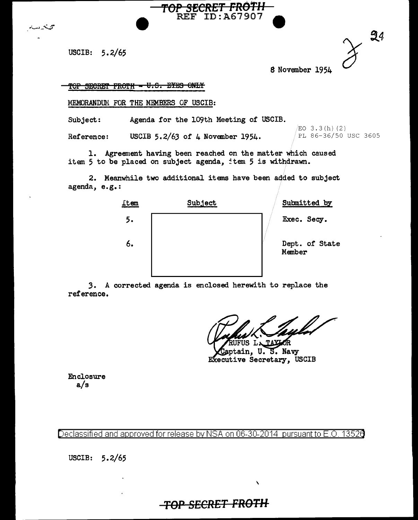USCIB: 5.2/65

تينينه مسة

| 94 |
|----|
|    |

S November 1954

TOP SECRET FROTH - U.S. EYES ONLY

MEMORANDUM FOR THE MEMBERS OF USCIB:

Subject: Agenda for the 109th Meeting of USCIB.

**Reference:** USCIB 5.2/63 of 4 November 1954. PL 86-36/50 USC 3605

 $EO$  3.3(h)(2)

1. Agreement having been reached on the matter which caused item 5 to be placed on subject agenda, item 5 is withdrawn.

**TOP SECRET FR0111**  REF ID:A67907

2. Meanwhile two additional items have been added to subject agenda, e.g.:



3. A corrected agenda is enclosed herewith to replace the reference.

US LATATIOR

eptain, U. S. Navy EXecutive Secretary, USCIB

 $\lambda$ 

Enclosure a/s

Declassified and approved for release by NSA on 06-30-2014 pursuant to E.O. 1352 $\theta$ 

USCIB: 5.2/65

## **TOP SECRET FROTH**